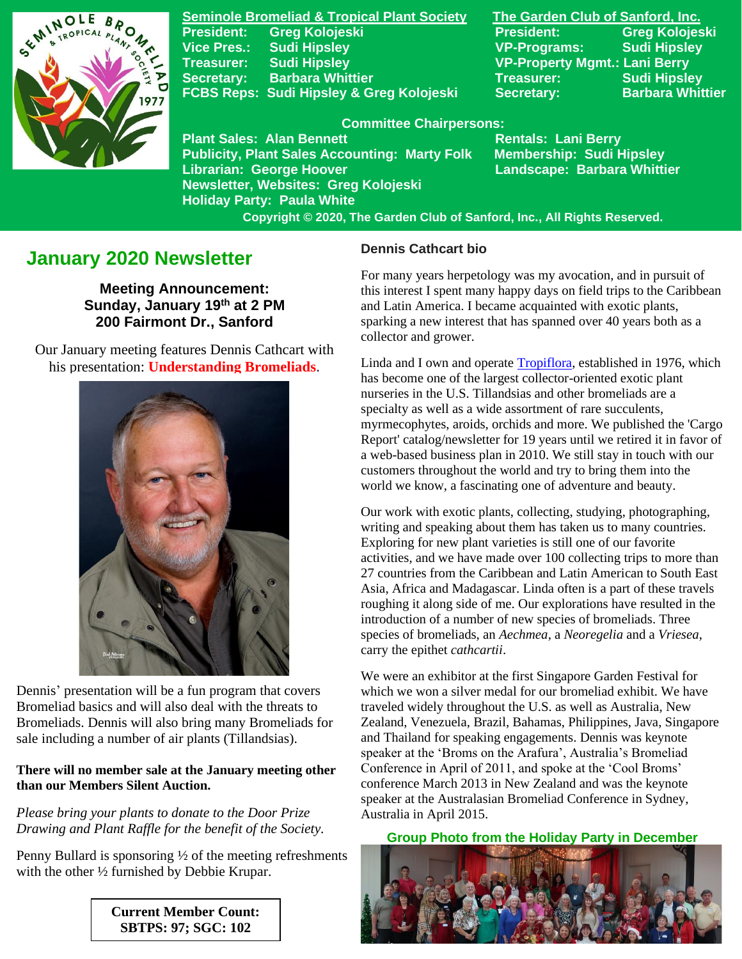

**Seminole Bromeliad & Tropical Plant Society The Garden Club of Sanford, Inc. Vice Pres.: Sudi Hipsley VP-Programs: Sudi Hipsley Treasurer: Sudi Hipsley VP-Property Mgmt.: Lani Berry Secretary:** Barbara Whittier **Network Treasurer:** Sudi Hipsley FCBS Reps: Sudi Hipsley & Greg Kolojeski Secretary: Barbara Whittier

**Publicity, Plant Sales Accounting: Marty Folk** 

**Newsletter, Websites: Greg Kolojeski**

**Holiday Party: Paula White** 

**President: Greg Kolojeski President: Greg Kolojeski** 

#### **Committee Chairpersons:**

Plant Sales: Alan Bennett<br>Publicity, Plant Sales Accounting: Marty Folk Membership: Sudi Hipsley **Librarian: George Hoover Landscape: Barbara Whittier**

 **Copyright © 2020, The Garden Club of Sanford, Inc., All Rights Reserved.**

# **January 2020 Newsletter**

**Meeting Announcement: Sunday, January 19th at 2 PM 200 Fairmont Dr., Sanford**

 Our January meeting features Dennis Cathcart with his presentation: **Understanding Bromeliads**.



Dennis' presentation will be a fun program that covers Bromeliad basics and will also deal with the threats to Bromeliads. Dennis will also bring many Bromeliads for sale including a number of air plants (Tillandsias).

#### **There will no member sale at the January meeting other than our Members Silent Auction.**

*Please bring your plants to donate to the Door Prize Drawing and Plant Raffle for the benefit of the Society.*

Penny Bullard is sponsoring ½ of the meeting refreshments with the other ½ furnished by Debbie Krupar.

> **Current Member Count: SBTPS: 97; SGC: 102**

#### **Dennis Cathcart bio**

For many years herpetology was my avocation, and in pursuit of this interest I spent many happy days on field trips to the Caribbean and Latin America. I became acquainted with exotic plants, sparking a new interest that has spanned over 40 years both as a collector and grower.

Linda and I own and operat[e Tropiflora,](http://tropiflora.com/) established in 1976, which has become one of the largest collector-oriented exotic plant nurseries in the U.S. Tillandsias and other bromeliads are a specialty as well as a wide assortment of rare succulents, myrmecophytes, aroids, orchids and more. We published the 'Cargo Report' catalog/newsletter for 19 years until we retired it in favor of a web-based business plan in 2010. We still stay in touch with our customers throughout the world and try to bring them into the world we know, a fascinating one of adventure and beauty.

Our work with exotic plants, collecting, studying, photographing, writing and speaking about them has taken us to many countries. Exploring for new plant varieties is still one of our favorite activities, and we have made over 100 collecting trips to more than 27 countries from the Caribbean and Latin American to South East Asia, Africa and Madagascar. Linda often is a part of these travels roughing it along side of me. Our explorations have resulted in the introduction of a number of new species of bromeliads. Three species of bromeliads, an *Aechmea*, a *Neoregelia* and a *Vriesea*, carry the epithet *cathcartii*.

We were an exhibitor at the first Singapore Garden Festival for which we won a silver medal for our bromeliad exhibit. We have traveled widely throughout the U.S. as well as Australia, New Zealand, Venezuela, Brazil, Bahamas, Philippines, Java, Singapore and Thailand for speaking engagements. Dennis was keynote speaker at the 'Broms on the Arafura', Australia's Bromeliad Conference in April of 2011, and spoke at the 'Cool Broms' conference March 2013 in New Zealand and was the keynote speaker at the Australasian Bromeliad Conference in Sydney, Australia in April 2015.

 **Group Photo from the Holiday Party in December**